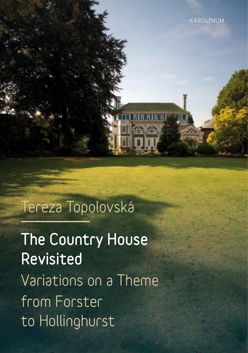血血酸

# **Tereza Topolovská**

The Country House Revisited **Variations on a Theme from Forster to Hollinghurst**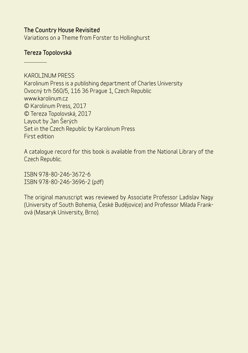### The Country House Revisited

**Variations on a Theme from Forster to Hollinghurst**

### Tereza Topolovská

**KAROLINUM PRESS Karolinum Press is a publishing department of Charles University Ovocný trh 560/5, 116 36 Prague 1, Czech Republic www.karolinum.cz © Karolinum Press, 2017 © Tereza Topolovská, 2017 Layout by Jan Šerých Set in the Czech Republic by Karolinum Press First edition**

**A catalogue record for this book is available from the National Library of the Czech Republic.**

**ISBN 978-80-246-3672-6 ISBN 978-80-246-3696-2 (pdf)**

**The original manuscript was reviewed by Associate Professor Ladislav Nagy (University of South Bohemia, České Budějovice) and Professor Milada Franková (Masaryk University, Brno).**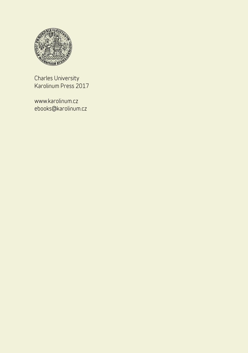

**Charles University Karolinum Press 2017**

**www.karolinum.cz ebooks@karolinum.cz**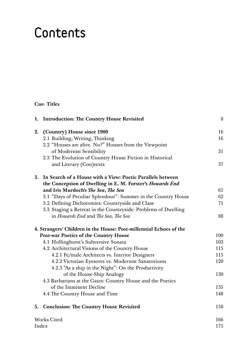## **Contents**

#### **[Cue- Titles](#page-6-0)**

|                    | 1. Introduction: The Country House Revisited                       | 8   |
|--------------------|--------------------------------------------------------------------|-----|
|                    | 2. (Country) House since 1900                                      | 16  |
|                    | 2.1 Building, Writing, Thinking                                    | 16  |
|                    | 2.2 "Houses are alive. No?" Houses from the Viewpoint              |     |
|                    | of Modernist Sensibility                                           | 31  |
|                    | 2.3 The Evolution of Country House Fiction in Historical           |     |
|                    | and Literary (Con)texts                                            | 37  |
|                    | 3. In Search of a House with a View: Poetic Parallels between      |     |
|                    | the Conception of Dwelling in E. M. Forster's Howards End          |     |
|                    | and Iris Murdoch's The Sea, The Sea                                | 61  |
|                    | 3.1 "Days of Peculiar Splendour": Summer in the Country House      | 62  |
|                    | 3.2 Defining Dichotomies: Countryside and Class                    | 71  |
|                    | 3.3 Staging a Retreat in the Countryside: Problems of Dwelling     |     |
|                    | in Howards End and The Sea, The Sea                                | 88  |
|                    | 4. Strangers' Children in the House: Post-millennial Echoes of the |     |
|                    | Post-war Poetics of the Country House                              | 100 |
|                    | 4.1 Hollinghurst's Subversive Sonata                               | 103 |
|                    | 4.2 Architectural Visions of the Country House                     | 115 |
|                    | 4.2.1 Fe/male Architects vs. Interior Designers                    | 115 |
|                    | 4.2.2 Victorian Eyesores vs. Modernist Sanatoriums                 | 120 |
|                    | 4.2.3 "As a ship in the Night": On the Productivity                |     |
|                    | of the House-Ship Analogy                                          | 130 |
|                    | 4.3 Barbarians at the Gates: Country House and the Poetics         |     |
|                    | of the Imminent Decline                                            | 135 |
|                    | 4.4 The Country House and Time                                     | 148 |
| 5.                 | <b>Conclusion: The Country House Revisited</b>                     | 158 |
| <b>Works Cited</b> |                                                                    | 166 |
| Index              |                                                                    | 175 |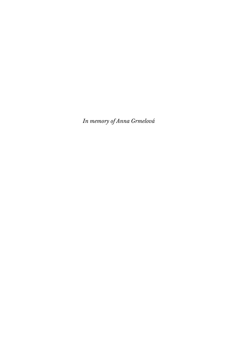*In memory of Anna Grmelová*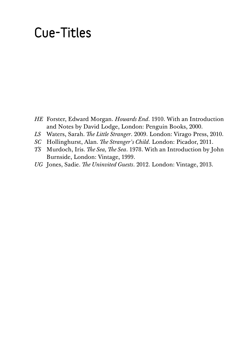## <span id="page-6-0"></span>Cue-Titles

- *HE* Forster, Edward Morgan. *Howards End*. 1910. With an Introduction and Notes by David Lodge, London: Penguin Books, 2000.
- *LS* Waters, Sarah. *The Little Stranger*. 2009. London: Virago Press, 2010.
- *SC* Hollinghurst, Alan. *The Stranger's Child*. London: Picador, 2011.
- *TS* Murdoch, Iris. *The Sea, The Sea*. 1978. With an Introduction by John Burnside, London: Vintage, 1999.
- *UG* Jones, Sadie. *The Uninvited Guests*. 2012. London: Vintage, 2013.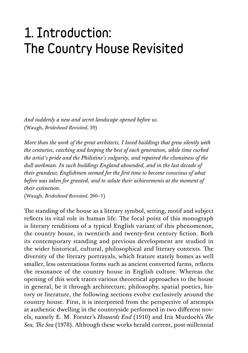# <span id="page-7-0"></span>1. Introduction: The Country House Revisited

*And suddenly a new and secret landscape opened before us.*  (Waugh, *Brideshead Revisited*, 39)

*More than the work of the great architects, I loved buildings that grew silently with the centuries, catching and keeping the best of each generation, while time curbed the artist's pride and the Philistine's vulgarity, and repaired the clumsiness of the dull workman. In such buildings England abounded, and in the last decade of their grandeur, Englishmen seemed for the first time to become conscious of what before was taken for granted, and to salute their achievements at the moment of their extinction.* 

(Waugh, *Brideshead Revisited*, 260–1)

The standing of the house as a literary symbol, setting, motif and subject reflects its vital role in human life. The focal point of this monograph is literary renditions of a typical English variant of this phenomenon, the country house, in twentieth and twenty-first century fiction. Both its contemporary standing and previous development are studied in the wider historical, cultural, philosophical and literary contexts. The diversity of the literary portrayals, which feature stately homes as well smaller, less ostentatious forms such as ancient converted farms, reflects the resonance of the country house in English culture. Whereas the opening of this work traces various theoretical approaches to the house in general, be it through architecture, philosophy, spatial poetics, history or literature, the following sections evolve exclusively around the country house. First, it is interpreted from the perspective of attempts at authentic dwelling in the countryside performed in two different novels, namely E. M. Forster's *Howards End* (1910) and Iris Murdoch's *The Sea, The Sea* (1978). Although these works herald current, post-millennial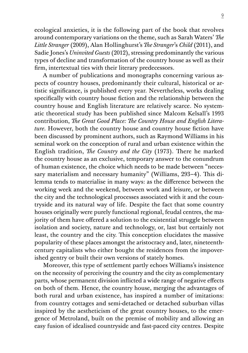ecological anxieties, it is the following part of the book that revolves around contemporary variations on the theme, such as Sarah Waters' *The Little Stranger* (2009), Alan Hollinghurst's *The Stranger*'s *Child* (2011), and Sadie Jones's *Uninvited Guests* (2012), stressing predominantly the various types of decline and transformation of the country house as well as their firm, intertextual ties with their literary predecessors.

A number of publications and monographs concerning various aspects of country houses, predominantly their cultural, historical or artistic significance, is published every year. Nevertheless, works dealing specifically with country house fiction and the relationship between the country house and English literature are relatively scarce. No systematic theoretical study has been published since Malcom Kelsall's 1993 contribution, *The Great Good Place: The Country House and English Literature*. However, both the country house and country house fiction have been discussed by prominent authors, such as Raymond Williams in his seminal work on the conception of rural and urban existence within the English tradition, *The Country and the City* (1973). There he marked the country house as an exclusive, temporary answer to the conundrum of human existence, the choice which needs to be made between "necessary materialism and necessary humanity" (Williams, 293–4). This dilemma tends to materialise in many ways: as the difference between the working week and the weekend, between work and leisure, or between the city and the technological processes associated with it and the countryside and its natural way of life. Despite the fact that some country houses originally were purely functional regional, feudal centres, the majority of them have offered a solution to the existential struggle between isolation and society, nature and technology, or, last but certainly not least, the country and the city. This conception elucidates the massive popularity of these places amongst the aristocracy and, later, nineteenthcentury capitalists who either bought the residences from the impoverished gentry or built their own versions of stately homes.

Moreover, this type of settlement partly echoes Williams's insistence on the necessity of perceiving the country and the city as complementary parts, whose permanent division inflicted a wide range of negative effects on both of them. Hence, the country house, merging the advantages of both rural and urban existence, has inspired a number of imitations: from country cottages and semi-detached or detached suburban villas inspired by the aestheticism of the great country houses, to the emergence of Metroland, built on the premise of mobility and allowing an easy fusion of idealised countryside and fast-paced city centres. Despite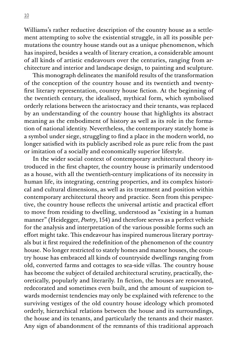Williams's rather reductive description of the country house as a settlement attempting to solve the existential struggle, in all its possible permutations the country house stands out as a unique phenomenon, which has inspired, besides a wealth of literary creation, a considerable amount of all kinds of artistic endeavours over the centuries, ranging from architecture and interior and landscape design, to painting and sculpture.

This monograph delineates the manifold results of the transformation of the conception of the country house and its twentieth and twentyfirst literary representation, country house fiction. At the beginning of the twentieth century, the idealised, mythical form, which symbolised orderly relations between the aristocracy and their tenants, was replaced by an understanding of the country house that highlights its abstract meaning as the embodiment of history as well as its role in the formation of national identity. Nevertheless, the contemporary stately home is a symbol under siege, struggling to find a place in the modern world, no longer satisfied with its publicly ascribed role as pure relic from the past or imitation of a socially and economically superior lifestyle.

In the wider social context of contemporary architectural theory introduced in the first chapter, the country house is primarily understood as a house, with all the twentieth-century implications of its necessity in human life, its integrating, centring properties, and its complex historical and cultural dimensions, as well as its treatment and position within contemporary architectural theory and practice. Seen from this perspective, the country house reflects the universal artistic and practical effort to move from residing to dwelling, understood as "existing in a human manner" (Heidegger, *Poetry*, 154) and therefore serves as a perfect vehicle for the analysis and interpretation of the various possible forms such an effort might take. This endeavour has inspired numerous literary portrayals but it first required the redefinition of the phenomenon of the country house. No longer restricted to stately homes and manor houses, the country house has embraced all kinds of countryside dwellings ranging from old, converted farms and cottages to sea-side villas. The country house has become the subject of detailed architectural scrutiny, practically, theoretically, popularly and literarily. In fiction, the houses are renovated, redecorated and sometimes even built, and the amount of suspicion towards modernist tendencies may only be explained with reference to the surviving vestiges of the old country house ideology which promoted orderly, hierarchical relations between the house and its surroundings, the house and its tenants, and particularly the tenants and their master. Any sign of abandonment of the remnants of this traditional approach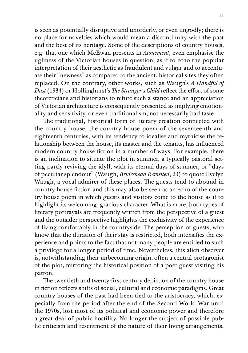is seen as potentially disruptive and unorderly, or even ungodly; there is no place for novelties which would mean a discontinuity with the past and the best of its heritage. Some of the descriptions of country houses, e.g. that one which McEwan presents in *Atonement*, even emphasise the ugliness of the Victorian houses in question, as if to echo the popular interpretation of their aesthetic as fraudulent and vulgar and to accentuate their "newness" as compared to the ancient, historical sites they often replaced. On the contrary, other works, such as Waugh's *A Handful of Dust* (1934) or Hollinghurst's *The Stranger's Child* reflect the effort of some theoreticians and historians to refute such a stance and an appreciation of Victorian architecture is consequently presented as implying emotionality and sensitivity, or even traditionalism, not necessarily bad taste.

The traditional, historical form of literary creation connected with the country house, the country house poem of the seventeenth and eighteenth centuries, with its tendency to idealise and mythicise the relationship between the house, its master and the tenants, has influenced modern country house fiction in a number of ways. For example, there is an inclination to situate the plot in summer, a typically pastoral setting partly reviving the idyll, with its eternal days of summer, or "days of peculiar splendour" (Waugh, *Brideshead Revisited*, 23) to quote Evelyn Waugh, a vocal admirer of these places. The guests tend to abound in country house fiction and this may also be seen as an echo of the country house poem in which guests and visitors come to the house as if to highlight its welcoming, gracious character. What is more, both types of literary portrayals are frequently written from the perspective of a guest and the outsider perspective highlights the exclusivity of the experience of living comfortably in the countryside. The perception of guests, who know that the duration of their stay is restricted, both intensifies the experience and points to the fact that not many people are entitled to such a privilege for a longer period of time. Nevertheless, this alien observer is, notwithstanding their unbecoming origin, often a central protagonist of the plot, mirroring the historical position of a poet guest visiting his patron.

The twentieth and twenty-first century depiction of the country house in fiction reflects shifts of social, cultural and economic paradigms. Great country houses of the past had been tied to the aristocracy, which, especially from the period after the end of the Second World War until the 1970s, lost most of its political and economic power and therefore a great deal of public hostility. No longer the subject of possible public criticism and resentment of the nature of their living arrangements,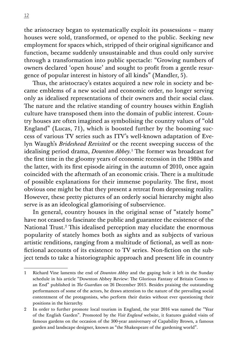the aristocracy began to systematically exploit its possessions – many houses were sold, transformed, or opened to the public. Seeking new employment for spaces which, stripped of their original significance and function, became suddenly unsustainable and thus could only survive through a transformation into public spectacle: "Growing numbers of owners declared 'open house' and sought to profit from a gentle resurgence of popular interest in history of all kinds" (Mandler, 5).

Thus, the aristocracy's estates acquired a new role in society and became emblems of a new social and economic order, no longer serving only as idealised representations of their owners and their social class. The nature and the relative standing of country houses within English culture have transposed them into the domain of public interest. Country houses are often imagined as symbolising the country values of "old England" (Lucas, 71), which is boosted further by the booming success of various TV series such as ITV's well-known adaptation of Evelyn Waugh's *Brideshead Revisited* or the recent sweeping success of the idealising period drama, *Downton Abbey.*<sup>1</sup> The former was broadcast for the first time in the gloomy years of economic recession in the 1980s and the latter, with its first episode airing in the autumn of 2010, once again coincided with the aftermath of an economic crisis. There is a multitude of possible explanations for their immense popularity. The first, most obvious one might be that they present a retreat from depressing reality. However, these pretty pictures of an orderly social hierarchy might also serve is as an ideological glamorising of subservience.

In general, country houses in the original sense of "stately home" have not ceased to fascinate the public and guarantee the existence of the National Trust.<sup>2</sup> This idealised perception may elucidate the enormous popularity of stately homes both as sights and as subjects of various artistic renditions, ranging from a multitude of fictional, as well as nonfictional accounts of its existence to TV series. Non-fiction on the subject tends to take a historiographic approach and present life in country

<sup>1</sup> Richard Vine laments the end of *Downton Abbey* and the gaping hole it left in the Sunday schedule in his article "Downton Abbey Review: The Glorious Fantasy of Britain Comes to an End" published in *The Guardian* on 26 December 2015. Besides praising the outstanding performances of some of the actors, he draws attention to the nature of the prevailing social contentment of the protagonists, who perform their duties without ever questioning their positions in the hierarchy.

<sup>2</sup> In order to further promote local tourism in England, the year 2016 was named the "Year of the English Garden". Promoted by the *Visit England* website, it features guided visits of famous gardens on the occasion of the 300-year anniversary of Capability Brown, a famous garden and landscape designer, known as "the Shakespeare of the gardening world".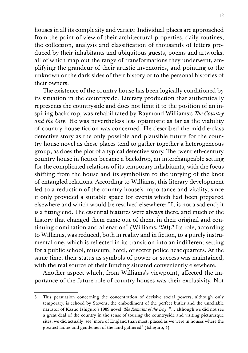houses in all its complexity and variety. Individual places are approached from the point of view of their architectural properties, daily routines, the collection, analysis and classification of thousands of letters produced by their inhabitants and ubiquitous guests, poems and artworks, all of which map out the range of transformations they underwent, amplifying the grandeur of their artistic inventories, and pointing to the unknown or the dark sides of their history or to the personal histories of their owners.

The existence of the country house has been logically conditioned by its situation in the countryside. Literary production that authentically represents the countryside and does not limit it to the position of an inspiring backdrop, was rehabilitated by Raymond Williams's *The Country and the City*. He was nevertheless less optimistic as far as the viability of country house fiction was concerned. He described the middle-class detective story as the only possible and plausible future for the country house novel as these places tend to gather together a heterogeneous group, as does the plot of a typical detective story. The twentieth-century country house in fiction became a backdrop, an interchangeable setting for the complicated relations of its temporary inhabitants, with the focus shifting from the house and its symbolism to the untying of the knot of entangled relations. According to Williams, this literary development led to a reduction of the country house's importance and vitality, since it only provided a suitable space for events which had been prepared elsewhere and which would be resolved elsewhere: "It is not a sad end; it is a fitting end. The essential features were always there, and much of the history that changed them came out of them, in their original and continuing domination and alienation" (Williams, 250).<sup>3</sup> Its role, according to Williams, was reduced, both in reality and in fiction, to a purely instrumental one, which is reflected in its transition into an indifferent setting for a public school, museum, hotel, or secret police headquarters. At the same time, their status as symbols of power or success was maintained, with the real source of their funding situated conveniently elsewhere.

Another aspect which, from Williams's viewpoint, affected the importance of the future role of country houses was their exclusivity. Not

<sup>3</sup> This persuasion concerning the concentration of decisive social powers, although only temporary, is echoed by Stevens, the embodiment of the perfect butler and the unreliable narrator of Kazuo Ishiguro's 1989 novel, *The Remains of the Day*: "… although we did not see a great deal of the country in the sense of touring the countryside and visiting picturesque sites, we did actually 'see' more of England than most, placed as we were in houses where the greatest ladies and gentlemen of the land gathered" (Ishiguro, 4).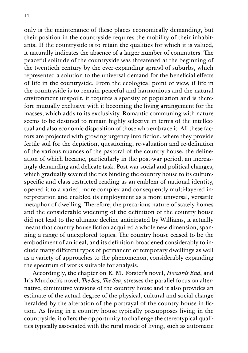only is the maintenance of these places economically demanding, but their position in the countryside requires the mobility of their inhabitants. If the countryside is to retain the qualities for which it is valued, it naturally indicates the absence of a larger number of commuters. The peaceful solitude of the countryside was threatened at the beginning of the twentieth century by the ever-expanding sprawl of suburbs, which represented a solution to the universal demand for the beneficial effects of life in the countryside. From the ecological point of view, if life in the countryside is to remain peaceful and harmonious and the natural environment unspoilt, it requires a sparsity of population and is therefore mutually exclusive with it becoming the living arrangement for the masses, which adds to its exclusivity. Romantic communing with nature seems to be destined to remain highly selective in terms of the intellectual and also economic disposition of those who embrace it. All these factors are projected with growing urgency into fiction, where they provide fertile soil for the depiction, questioning, re-valuation and re-definition of the various nuances of the pastoral of the country house, the delineation of which became, particularly in the post-war period, an increasingly demanding and delicate task. Post-war social and political changes, which gradually severed the ties binding the country house to its culturespecific and class-restricted reading as an emblem of national identity, opened it to a varied, more complex and consequently multi-layered interpretation and enabled its employment as a more universal, versatile metaphor of dwelling. Therefore, the precarious nature of stately homes and the considerable widening of the definition of the country house did not lead to the ultimate decline anticipated by Williams, it actually meant that country house fiction acquired a whole new dimension, spanning a range of unexplored topics. The country house ceased to be the embodiment of an ideal, and its definition broadened considerably to include many different types of permanent or temporary dwellings as well as a variety of approaches to the phenomenon, considerably expanding the spectrum of works suitable for analysis.

Accordingly, the chapter on E. M. Forster's novel, *Howards End*, and Iris Murdoch's novel, *The Sea, The Sea*, stresses the parallel focus on alternative, diminutive versions of the country house and it also provides an estimate of the actual degree of the physical, cultural and social change heralded by the alteration of the portrayal of the country house in fiction. As living in a country house typically presupposes living in the countryside, it offers the opportunity to challenge the stereotypical qualities typically associated with the rural mode of living, such as automatic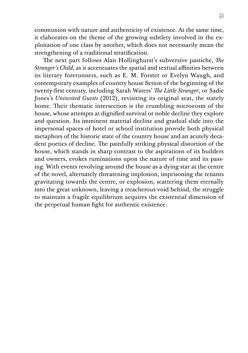communion with nature and authenticity of existence. At the same time, it elaborates on the theme of the growing subtlety involved in the exploitation of one class by another, which does not necessarily mean the strengthening of a traditional stratification.

The next part follows Alan Hollinghurst's subversive pastiche, *The Stranger's Child*, as it accentuates the spatial and textual affinities between its literary forerunners, such as E. M. Forster or Evelyn Waugh, and contemporary examples of country house fiction of the beginning of the twenty-first century, including Sarah Waters' *The Little Stranger*, or Sadie Jones's *Uninvited Guests* (2012), revisiting its original seat, the stately home. Their thematic intersection is the crumbling microcosm of the house, whose attempts at dignified survival or noble decline they explore and question. Its imminent material decline and gradual slide into the impersonal spaces of hotel or school institution provide both physical metaphors of the historic state of the country house and an acutely decadent poetics of decline. The painfully striking physical distortion of the house, which stands in sharp contrast to the aspirations of its builders and owners, evokes ruminations upon the nature of time and its passing. With events revolving around the house as a dying star at the centre of the novel, alternately threatening implosion, imprisoning the tenants gravitating towards the centre, or explosion, scattering them eternally into the great unknown, leaving a treacherous void behind, the struggle to maintain a fragile equilibrium acquires the existential dimension of the perpetual human fight for authentic existence.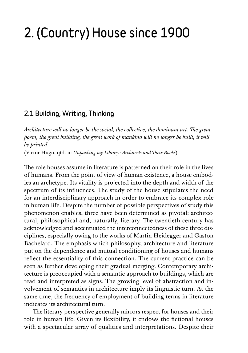# <span id="page-15-0"></span>2. (Country) House since 1900

### 2.1 Building, Writing, Thinking

*Architecture will no longer be the social, the collective, the dominant art. The great poem, the great building, the great work of mankind will no longer be built, it will be printed.* 

(Victor Hugo, qtd. in *Unpacking my Library: Architects and Their Books*)

The role houses assume in literature is patterned on their role in the lives of humans. From the point of view of human existence, a house embodies an archetype. Its vitality is projected into the depth and width of the spectrum of its influences. The study of the house stipulates the need for an interdisciplinary approach in order to embrace its complex role in human life. Despite the number of possible perspectives of study this phenomenon enables, three have been determined as pivotal: architectural, philosophical and, naturally, literary. The twentieth century has acknowledged and accentuated the interconnectedness of these three disciplines, especially owing to the works of Martin Heidegger and Gaston Bachelard. The emphasis which philosophy, architecture and literature put on the dependence and mutual conditioning of houses and humans reflect the essentiality of this connection. The current practice can be seen as further developing their gradual merging. Contemporary architecture is preoccupied with a semantic approach to buildings, which are read and interpreted as signs. The growing level of abstraction and involvement of semantics in architecture imply its linguistic turn. At the same time, the frequency of employment of building terms in literature indicates its architectural turn.

The literary perspective generally mirrors respect for houses and their role in human life. Given its flexibility, it endows the fictional houses with a spectacular array of qualities and interpretations. Despite their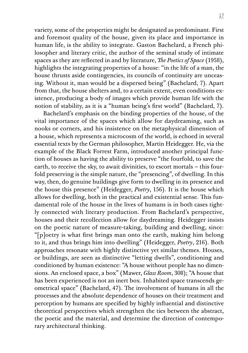variety, some of the properties might be designated as predominant. First and foremost quality of the house, given its place and importance in human life, is the ability to integrate. Gaston Bachelard, a French philosopher and literary critic, the author of the seminal study of intimate spaces as they are reflected in and by literature, *The Poetics of Space* (1958), highlights the integrating properties of a house: "in the life of a man, the house thrusts aside contingencies, its councils of continuity are unceasing. Without it, man would be a dispersed being" (Bachelard, 7). Apart from that, the house shelters and, to a certain extent, even conditions existence, producing a body of images which provide human life with the notion of stability, as it is a "human being's first world" (Bachelard, 7).

Bachelard's emphasis on the binding properties of the house, of the vital importance of the spaces which allow for daydreaming, such as nooks or corners, and his insistence on the metaphysical dimension of a house, which represents a microcosm of the world, is echoed in several essential texts by the German philosopher, Martin Heidegger. He, via the example of the Black Forrest Farm, introduced another principal function of houses as having the ability to preserve "the fourfold, to save the earth, to receive the sky, to await divinities, to escort mortals – this fourfold preserving is the simple nature, the "presencing", of dwelling. In this way, then, do genuine buildings give form to dwelling in its presence and the house this presence" (Heidegger, *Poetry*, 156). It is the house which allows for dwelling, both in the practical and existential sense. This fundamental role of the house in the lives of humans is in both cases tightly connected with literary production. From Bachelard's perspective, houses and their recollection allow for daydreaming. Heidegger insists on the poetic nature of measure-taking, building and dwelling, since: "[p]oetry is what first brings man onto the earth, making him belong to it, and thus brings him into dwelling" (Heidegger, *Poetry*, 216). Both approaches resonate with highly distinctive yet similar themes. Houses, or buildings, are seen as distinctive "letting dwells", conditioning and conditioned by human existence: "A house without people has no dimensions. An enclosed space, a box" (Mawer, *Glass Room*, 308); "A house that has been experienced is not an inert box. Inhabited space transcends geometrical space" (Bachelard, 47). The involvement of humans in all the processes and the absolute dependence of houses on their treatment and perception by humans are specified by highly influential and distinctive theoretical perspectives which strengthen the ties between the abstract, the poetic and the material, and determine the direction of contemporary architectural thinking.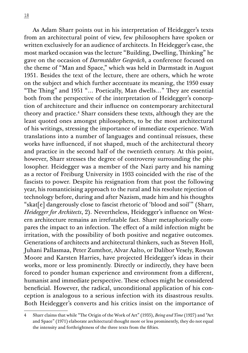As Adam Sharr points out in his interpretation of Heidegger's texts from an architectural point of view, few philosophers have spoken or written exclusively for an audience of architects. In Heidegger's case, the most marked occasion was the lecture "Building, Dwelling, Thinking" he gave on the occasion of *Darmstädter Gespräch*, a conference focused on the theme of "Man and Space," which was held in Darmstadt in August 1951. Besides the text of the lecture, there are others, which he wrote on the subject and which further accentuate its meaning, the 1950 essay "The Thing" and 1951 "… Poetically, Man dwells…" They are essential both from the perspective of the interpretation of Heidegger's conception of architecture and their influence on contemporary architectural theory and practice.<sup>4</sup> Sharr considers these texts, although they are the least quoted ones amongst philosophers, to be the most architectural of his writings, stressing the importance of immediate experience. With translations into a number of languages and continual reissues, these works have influenced, if not shaped, much of the architectural theory and practice in the second half of the twentieth century. At this point, however, Sharr stresses the degree of controversy surrounding the philosopher. Heidegger was a member of the Nazi party and his naming as a rector of Freiburg University in 1933 coincided with the rise of the fascists to power. Despite his resignation from that post the following year, his romanticising approach to the rural and his resolute rejection of technology before, during and after Nazism, made him and his thoughts "skat[e] dangerously close to fascist rhetoric of 'blood and soil'" (Sharr, *Heidegger for Architects*, 2). Nevertheless, Heidegger's influence on Western architecture remains an irrefutable fact. Sharr metaphorically compares the impact to an infection. The effect of a mild infection might be irritation, with the possibility of both positive and negative outcomes. Generations of architects and architectural thinkers, such as Steven Holl, Juhani Pallasmaa, Peter Zumthor, Alvar Aalto, or Dalibor Vesely, Rowan Moore and Karsten Harries, have projected Heidegger's ideas in their works, more or less prominently. Directly or indirectly, they have been forced to ponder human experience and environment from a different, humanist and immediate perspective. These echoes might be considered beneficial. However, the radical, unconditional application of his conception is analogous to a serious infection with its disastrous results. Both Heidegger's converts and his critics insist on the importance of

<sup>4</sup> Sharr claims that while "The Origin of the Work of Art" (1935), *Being and Time* (1927) and "Art and Space" (1971) elaborate architectural thought more or less prominently, they do not equal the intensity and forthrightness of the three texts from the fifties.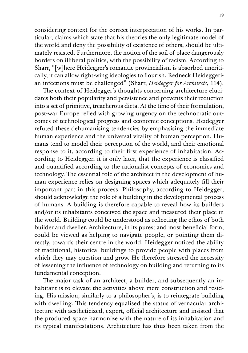considering context for the correct interpretation of his works. In particular, claims which state that his theories the only legitimate model of the world and deny the possibility of existence of others, should be ultimately resisted. Furthermore, the notion of the soil of place dangerously borders on illiberal politics, with the possibility of racism. According to Sharr, "[w]here Heidegger's romantic provincialism is absorbed uncritically, it can allow right-wing ideologies to flourish. Redneck Heideggerian infections must be challenged" (Sharr, *Heidegger for Architects*, 114).

The context of Heidegger's thoughts concerning architecture elucidates both their popularity and persistence and prevents their reduction into a set of primitive, treacherous dicta. At the time of their formulation, post-war Europe relied with growing urgency on the technocratic outcomes of technological progress and economic conceptions. Heidegger refuted these dehumanising tendencies by emphasising the immediate human experience and the universal vitality of human perception. Humans tend to model their perception of the world, and their emotional response to it, according to their first experience of inhabitation. According to Heidegger, it is only later, that the experience is classified and quantified according to the rationalist concepts of economics and technology. The essential role of the architect in the development of human experience relies on designing spaces which adequately fill their important part in this process. Philosophy, according to Heidegger, should acknowledge the role of a building in the developmental process of humans. A building is therefore capable to reveal how its builders and/or its inhabitants conceived the space and measured their place in the world. Building could be understood as reflecting the ethos of both builder and dweller. Architecture, in its purest and most beneficial form, could be viewed as helping to navigate people, or pointing them directly, towards their centre in the world. Heidegger noticed the ability of traditional, historical buildings to provide people with places from which they may question and grow. He therefore stressed the necessity of lessening the influence of technology on building and returning to its fundamental conception.

The major task of an architect, a builder, and subsequently an inhabitant is to elevate the activities above mere construction and residing. His mission, similarly to a philosopher's, is to reintegrate building with dwelling. This tendency equalised the status of vernacular architecture with aestheticized, expert, official architecture and insisted that the produced space harmonize with the nature of its inhabitation and its typical manifestations. Architecture has thus been taken from the